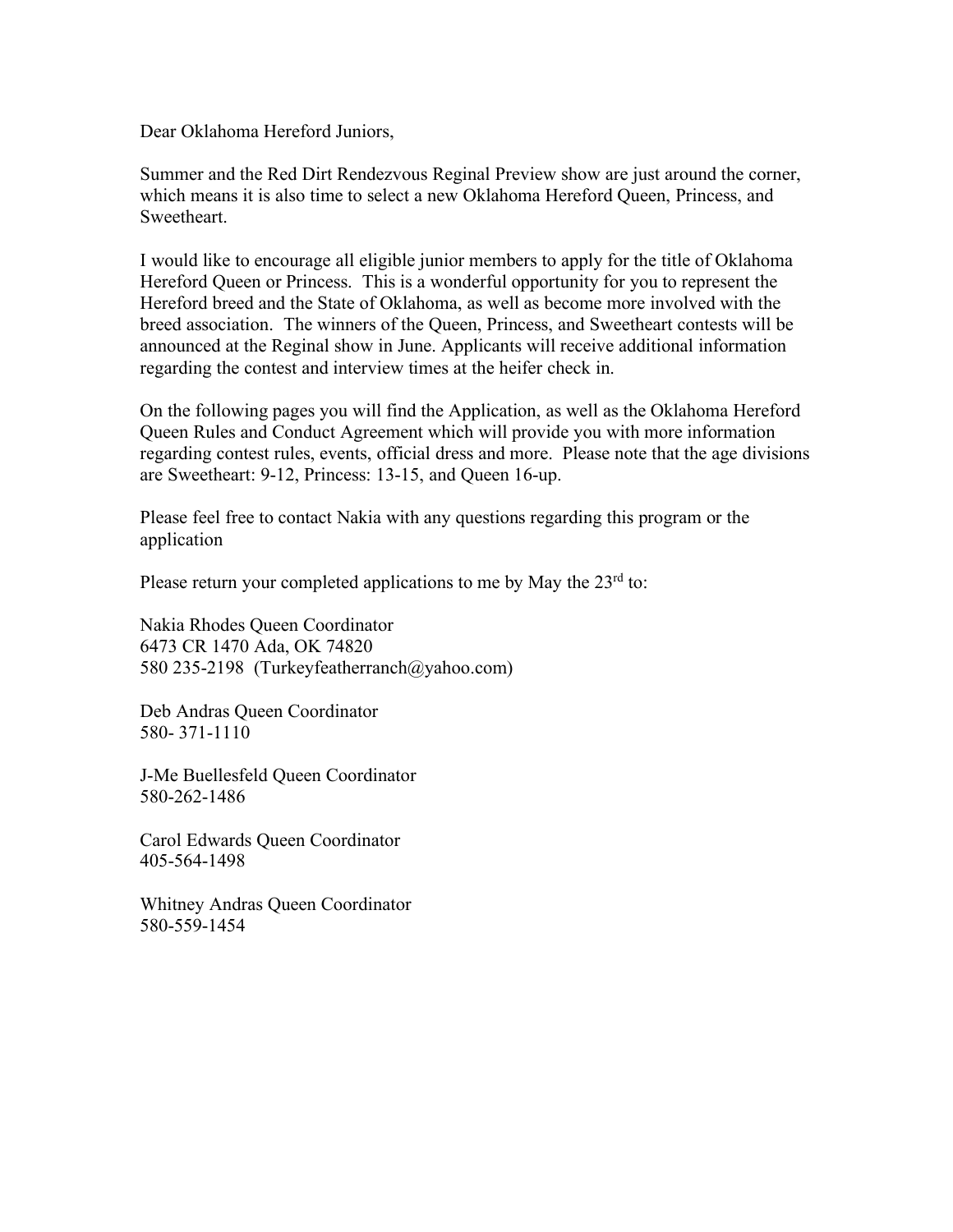Dear Oklahoma Hereford Juniors,

Summer and the Red Dirt Rendezvous Reginal Preview show are just around the corner, which means it is also time to select a new Oklahoma Hereford Queen, Princess, and **Sweetheart** 

I would like to encourage all eligible junior members to apply for the title of Oklahoma Hereford Queen or Princess. This is a wonderful opportunity for you to represent the Hereford breed and the State of Oklahoma, as well as become more involved with the breed association. The winners of the Queen, Princess, and Sweetheart contests will be announced at the Reginal show in June. Applicants will receive additional information regarding the contest and interview times at the heifer check in.

On the following pages you will find the Application, as well as the Oklahoma Hereford Queen Rules and Conduct Agreement which will provide you with more information regarding contest rules, events, official dress and more. Please note that the age divisions are Sweetheart: 9-12, Princess: 13-15, and Queen 16-up.

Please feel free to contact Nakia with any questions regarding this program or the application

Please return your completed applications to me by May the  $23<sup>rd</sup>$  to:

Nakia Rhodes Queen Coordinator 6473 CR 1470 Ada, OK 74820 580 235-2198 (Turkeyfeatherranch@yahoo.com)

Deb Andras Queen Coordinator 580- 371-1110

J-Me Buellesfeld Queen Coordinator 580-262-1486

Carol Edwards Queen Coordinator 405-564-1498

Whitney Andras Queen Coordinator 580-559-1454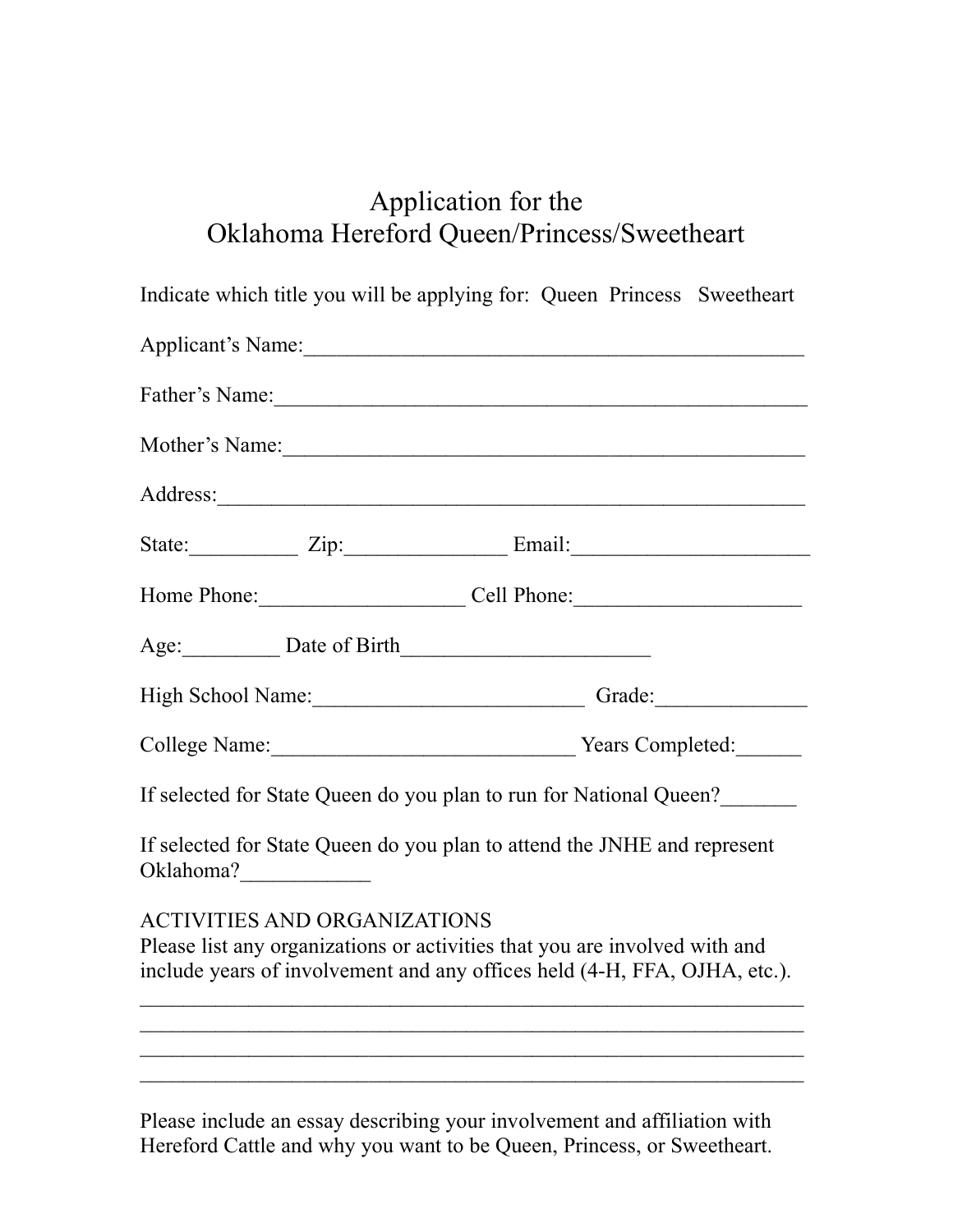## Application for the Oklahoma Hereford Queen/Princess/Sweetheart

| Indicate which title you will be applying for: Queen Princess Sweetheart                                                                                                                                                            |  |
|-------------------------------------------------------------------------------------------------------------------------------------------------------------------------------------------------------------------------------------|--|
| Applicant's Name:                                                                                                                                                                                                                   |  |
|                                                                                                                                                                                                                                     |  |
|                                                                                                                                                                                                                                     |  |
| Address: <u>Address</u> and the contract of the contract of the contract of the contract of the contract of the contract of the contract of the contract of the contract of the contract of the contract of the contract of the con |  |
| State: <u>Zip: Zip: Email:</u>                                                                                                                                                                                                      |  |
| Home Phone: Cell Phone: Cell Phone:                                                                                                                                                                                                 |  |
| Age: Date of Birth                                                                                                                                                                                                                  |  |
| High School Name: Cameran Contact Contact Contact Contact Contact Contact Contact Contact Contact Contact Contact Contact Contact Contact Contact Contact Contact Contact Contact Contact Contact Contact Contact Contact Cont      |  |
| College Name: Vears Completed:                                                                                                                                                                                                      |  |
| If selected for State Queen do you plan to run for National Queen?                                                                                                                                                                  |  |
| If selected for State Queen do you plan to attend the JNHE and represent                                                                                                                                                            |  |
| <b>ACTIVITIES AND ORGANIZATIONS</b><br>Please list any organizations or activities that you are involved with and<br>include years of involvement and any offices held (4-H, FFA, OJHA, etc.).                                      |  |
|                                                                                                                                                                                                                                     |  |
|                                                                                                                                                                                                                                     |  |
|                                                                                                                                                                                                                                     |  |

Please include an essay describing your involvement and affiliation with Hereford Cattle and why you want to be Queen, Princess, or Sweetheart.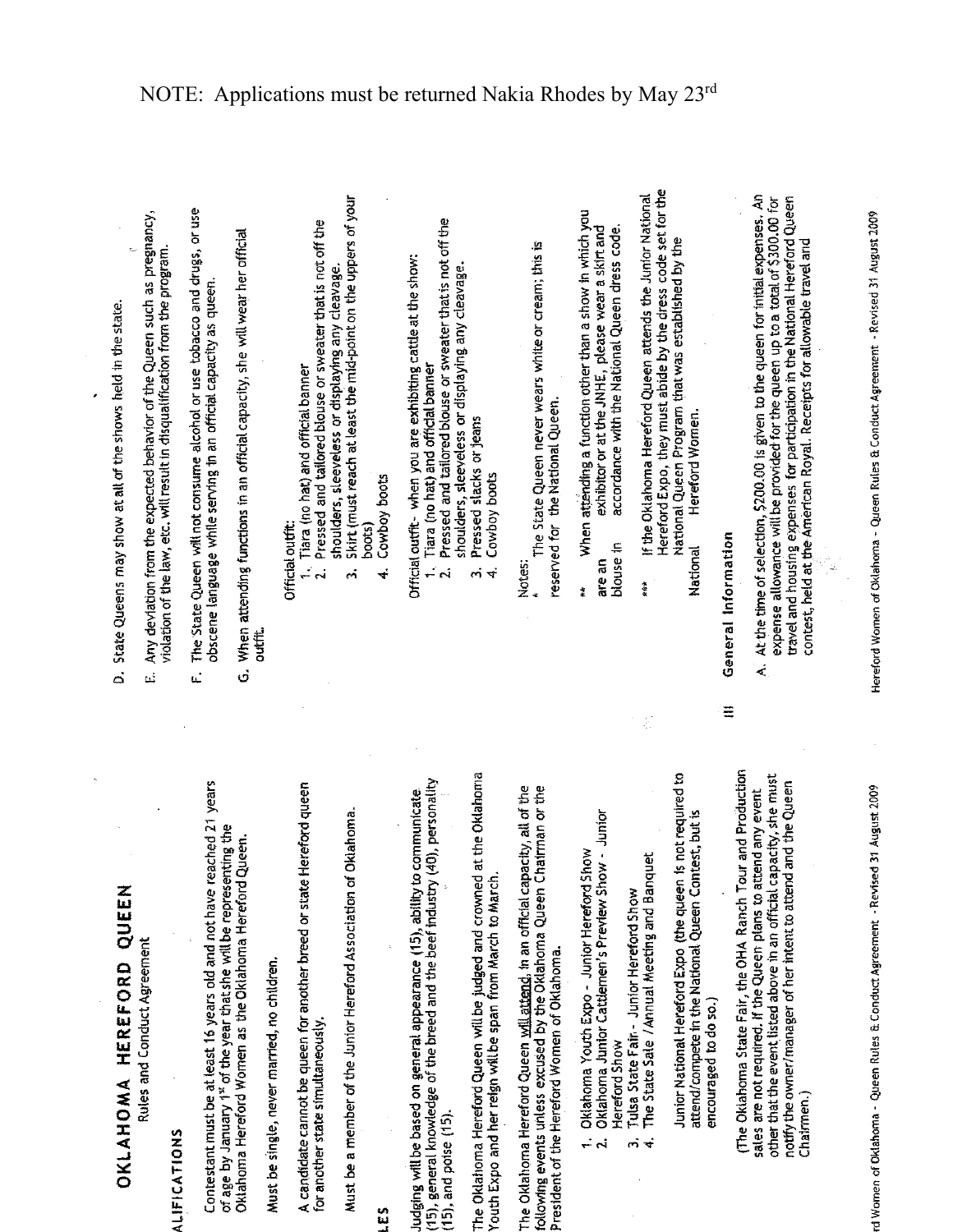OKLAHOMA HEREFORD QUEEN

Rules and Conduct Agreement

ALIFICATIONS

Contestant must be at least 16 years old and not have reached 21 years of age by January 1st of the year that she will be representing the Oklahoma Hereford Women as the Oklahoma Hereford Queen.

Must be single, never married, no children.

A candidate cannot be queen for another breed or state Hereford queen for another state simultaneously.

Must be a member of the Junior Hereford Association of Oklahoma.

## in<br>Li

(15), general knowledge of the breed and the beef industry (40), personality Judging will be based on general appearance (15), ability to communicate  $(15)$ , and poise  $(15)$ . The Oklahoma Hereford Queen will be judged and crowned at the Oklahoma Youth Expo and her reign will be span from March to March.

The Oklahoma Hereford Queen will attend, in an official capacity, all of the following events unless excused by the Oklahoma Queen Chairman or the President of the Hereford Women of Oklahoma.

- Oklahoma Youth Expo Junior Hereford Show  $\div$   $\sim$
- Oklahoma Junior Cattlemen's Preview Show Junior Hereford Show
	- Tulsa State Fair Junior Hereford Show
	- The State Sale / Annual Meeting and Banquet ကဲ <del>ပ</del>

Junior National Hereford Expo (the queen is not required to attend/compete in the National Queen Contest, but is encouraged to do so.) (The Oklahoma State Fair, the OHA Ranch Tour and Production other that the event listed above in an official capacity, she must notify the owner/manager of her intent to attend and the Queen sales are not required. If the Queen plans to attend any event Chairmen.)

State Queens may show at all of the shows held in the state.  $\dot{\circ}$ 

- Any deviation from the expected behavior of the Queen such as pregnancy, violation of the law, etc. will result in disqualification from the program. .<br>ندا
- The State Queen will not consume alcohol or use tobacco and drugs, or use obscene language while serving in an official capacity as queen. ίĆ,
- G. When attending functions in an official capacity, she will wear her official outfit.

**Official outfit:** 

- 1. Tiara (no hat) and official banner
- Pressed and tailored blouse or sweater that is not off the
- shoulders, sleeveless or displaying any cleavage.
- Skirt (must reach at least the mid-point on the uppers of your  $3005$ eń.
	- Cowboy boots  $\ddot{\bm{r}}$

Official outfit - when you are exhibiting cattle at the show:

- Pressed and tailored blouse or sweater that is not off the 1. Tiara (no hat) and official banner ر<br>م
	- shoulders, sleeveless or displaying any cleavage. Pressed stacks or jeans  $\vec{c}$ 
		- Cowboy boots  $\vec{r}$

Notes:

- The State Queen never wears white or cream; this is reserved for the National Queen.
- When attending a function other than a show in which you exhibitor or at the JNHE, please wear a skirt and accordance with the National Queen dress code. blouse in are an  $\ddot{\ddot{\ast}}$
- Hereford Expo, they must abide by the dress code set for the If the Oklahoma Hereford Queen attends the Junior National National Queen Program that was established by the Hereford Women. National 青葉

General Information

 $\equiv$ 

At the time of selection, \$200.00 is given to the queen for initial expenses. An expense allowance will be provided for the queen up to a total of \$300.00 for travel and housing expenses for participation in the National Hereford Queen contest, held at the American Royal. Receipts for allowable travel and  $\dot{\mathbf{z}}$ 

Hereford Women of Oklahoma - Queen Rules & Conduct Agreement - Revised 31 August 2009

5,